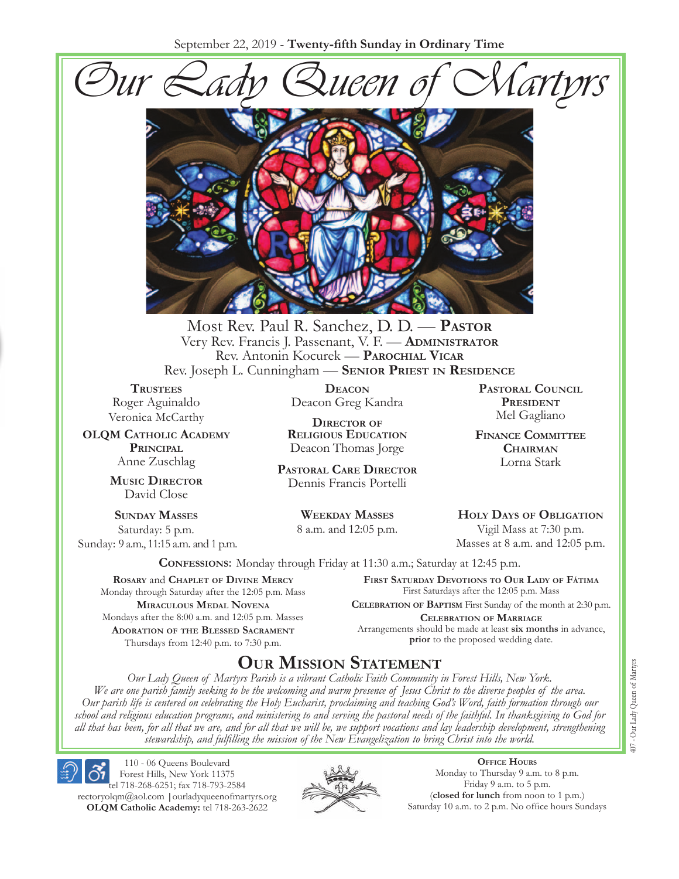September 22, 2019 - **Twenty-fifth Sunday in Ordinary Time**





Most Rev. Paul R. Sanchez, D. D. — **Pastor** Very Rev. Francis J. Passenant, V. F. — **Administrator** Rev. Antonin Kocurek — **Parochial Vicar** Rev. Joseph L. Cunningham — **Senior Priest in Residence**

**TRUSTEES** Roger Aguinaldo Veronica McCarthy

**OLQM Catholic Academy Principal** Anne Zuschlag

> **Music Director** David Close

**Sunday Masses** Saturday: 5 p.m. Sunday: 9 a.m., 11:15 a.m. and 1 p.m.

**Deacon** Deacon Greg Kandra

**Director of Religious Education** Deacon Thomas Jorge

**Pastoral Care Director** Dennis Francis Portelli

> **Weekday Masses** 8 a.m. and 12:05 p.m.

**Pastoral Council President** Mel Gagliano

**Finance Committee Chairman** Lorna Stark

**Holy Days of Obligation** Vigil Mass at 7:30 p.m.

Masses at 8 a.m. and 12:05 p.m.

**Confessions:** Monday through Friday at 11:30 a.m.; Saturday at 12:45 p.m.

**Rosary** and **Chaplet of Divine Mercy** Monday through Saturday after the 12:05 p.m. Mass **Miraculous Medal Novena** Mondays after the 8:00 a.m. and 12:05 p.m. Masses **Adoration of the Blessed Sacrament** Thursdays from 12:40 p.m. to 7:30 p.m.

**First Saturday Devotions to Our Lady of Fátima** First Saturdays after the 12:05 p.m. Mass

**Celebration of Baptism** First Sunday of the month at 2:30 p.m. **Celebration of Marriage**  Arrangements should be made at least **six months** in advance, **prior** to the proposed wedding date.

# **Our Mission Statement**

*Our Lady Queen of Martyrs Parish is a vibrant Catholic Faith Community in Forest Hills, New York. We are one parish family seeking to be the welcoming and warm presence of Jesus Christ to the diverse peoples of the area. Our parish life is centered on celebrating the Holy Eucharist, proclaiming and teaching God's Word, faith formation through our school and religious education programs, and ministering to and serving the pastoral needs of the faithful. In thanksgiving to God for all that has been, for all that we are, and for all that we will be, we support vocations and lay leadership development, strengthening stewardship, and fulfilling the mission of the New Evangelization to bring Christ into the world.*

110 - 06 Queens Boulevard Forest Hills, New York 11375 tel 718-268-6251; fax 718-793-2584 rectoryolqm@aol.com **|**ourladyqueenofmartyrs.org **OLQM Catholic Academy:** tel 718-263-2622



**Office Hours** Monday to Thursday 9 a.m. to 8 p.m. Friday 9 a.m. to 5 p.m. (**closed for lunch** from noon to 1 p.m.) Saturday 10 a.m. to 2 p.m. No office hours Sundays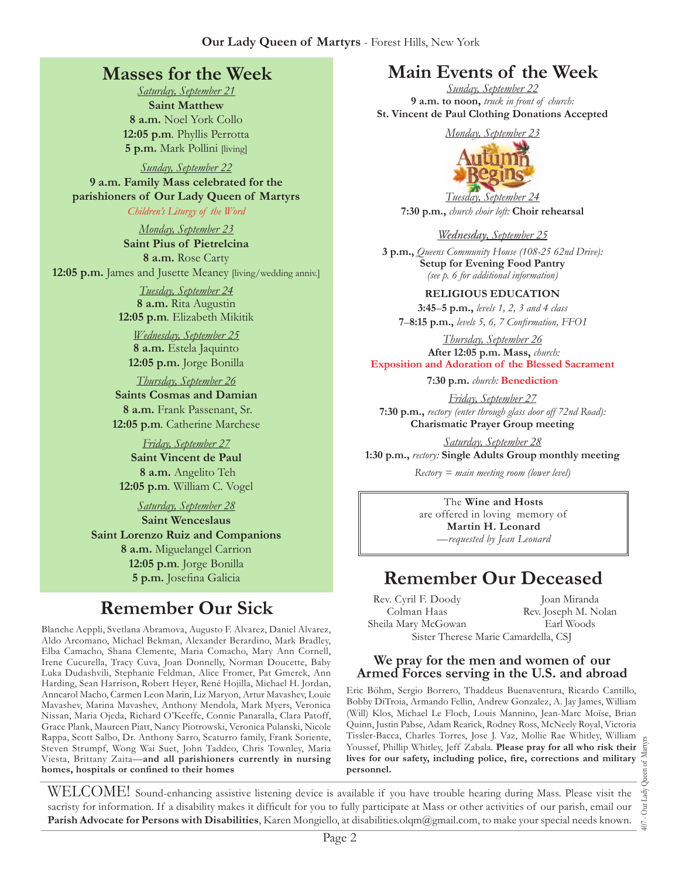## **Masses for the Week**

*Saturday, September 21*  **Saint Matthew 8 a.m.** Noel York Collo **12:05 p.m***.* Phyllis Perrotta **5 p.m.** Mark Pollini [living]

*Sunday, September 22*  **9 a.m. Family Mass celebrated for the parishioners of Our Lady Queen of Martyrs** *Children's Liturgy of the Word* 

*Monday, September 23*  **Saint Pius of Pietrelcina 8 a.m.** Rose Carty **12:05 p.m.** James and Jusette Meaney [living/wedding anniv.]

> *Tuesday, September 24*  **8 a.m.** Rita Augustin **12:05 p.m***.* Elizabeth Mikitik

*Wednesday, September 25*  **8 a.m.** Estela Jaquinto **12:05 p.m.** Jorge Bonilla

*Thursday, September 26* **Saints Cosmas and Damian 8 a.m.** Frank Passenant, Sr. **12:05 p.m***.* Catherine Marchese

*Friday, September 27*  **Saint Vincent de Paul 8 a.m.** Angelito Teh **12:05 p.m***.* William C. Vogel

*Saturday, September 28*  **Saint Wenceslaus Saint Lorenzo Ruiz and Companions 8 a.m.** Miguelangel Carrion **12:05 p.m***.* Jorge Bonilla

# **Remember Our Sick**

**5 p.m.** Josefina Galicia

Blanche Aeppli, Svetlana Abramova, Augusto F. Alvarez, Daniel Alvarez, Aldo Arcomano, Michael Bekman, Alexander Berardino, Mark Bradley, Elba Camacho, Shana Clemente, Maria Comacho, Mary Ann Cornell, Irene Cucurella, Tracy Cuva, Joan Donnelly, Norman Doucette, Baby Luka Dudashvili, Stephanie Feldman, Alice Fromer, Pat Gmerek, Ann Harding, Sean Harrison, Robert Heyer, René Hojilla, Michael H. Jordan, Anncarol Macho, Carmen Leon Marin, Liz Maryon, Artur Mavashev, Louie Mavashev, Marina Mavashev, Anthony Mendola, Mark Myers, Veronica Nissan, Maria Ojeda, Richard O'Keeffe, Connie Panaralla, Clara Patoff, Grace Plank, Maureen Piatt, Nancy Piotrowski, Veronica Pulanski, Nicole Rappa, Scott Salbo, Dr. Anthony Sarro, Scaturro family, Frank Soriente, Steven Strumpf, Wong Wai Suet, John Taddeo, Chris Townley, Maria Viesta, Brittany Zaita—**and all parishioners currently in nursing homes, hospitals or confined to their homes**

# **Main Events of the Week**

*Sunday, September 22* **9 a.m. to noon,** *truck in front of church:* **St. Vincent de Paul Clothing Donations Accepted**



*Tuesday, September 24*  **7:30 p.m.,** *church choir loft:* **Choir rehearsal**

#### *Wednesday, September 25*

**3 p.m.,** *Queens Community House (108-25 62nd Drive):*  **Setup for Evening Food Pantry**  *(see p. 6 for additional information)*

**Religious Education 3:45***–***5 p.m.,** *levels 1, 2, 3 and 4 class* 

**7**–**8:15 p.m.,** *levels 5, 6, 7 Confirmation, FFO  I*

*Thursday, September 26*   **After 12:05 p.m. Mass,** *church:*  **Exposition and Adoration of the Blessed Sacrament**

**7:30 p.m.** *church:* **Benediction** 

*Friday, September 27* **7:30 p.m.,** *rectory (enter through glass door off 72nd Road):* **Charismatic Prayer Group meeting**

*Saturday, September 28* **1:30 p.m.,** *rectory:* **Single Adults Group monthly meeting**

*Rectory = main meeting room (lower level)*

The **Wine and Hosts** are offered in loving memory of **Martin H. Leonard** *—requested by Jean Leonard*

# **Remember Our Deceased**

Rev. Cyril F. Doody Colman Haas Sheila Mary McGowan Sister Therese Marie Camardella, CSJ

Joan Miranda Rev. Joseph M. Nolan Earl Woods

#### **We pray for the men and women of our Armed Forces serving in the U.S. and abroad**

Eric Böhm, Sergio Borrero, Thaddeus Buenaventura, Ricardo Cantillo, Bobby DiTroia, Armando Fellin, Andrew Gonzalez, A. Jay James, William (Will) Klos, Michael Le Floch, Louis Mannino, Jean-Marc Moïse, Brian Quinn, Justin Pabse, Adam Rearick, Rodney Ross, McNeely Royal, Victoria Tissler-Bacca, Charles Torres, Jose J. Vaz, Mollie Rae Whitley, William<br>Youssef, Phillip Whitley, Jeff Zabala. **Please pray for all who risk their**<br>lives for our safety, including police, fire, corrections and military<br>per Youssef, Phillip Whitley, Jeff Zabala. **Please pray for all who risk their lives for our safety, including police, fire, corrections and military personnel.**

WELCOME! Sound-enhancing assistive listening device is available if you have trouble hearing during Mass. Please visit the sacristy for information. If a disability makes it difficult for you to fully participate at Mass or other activities of our parish, email our **Parish Advocate for Persons with Disabilities**, Karen Mongiello, at disabilities.olqm@gmail.com, to make your special needs known.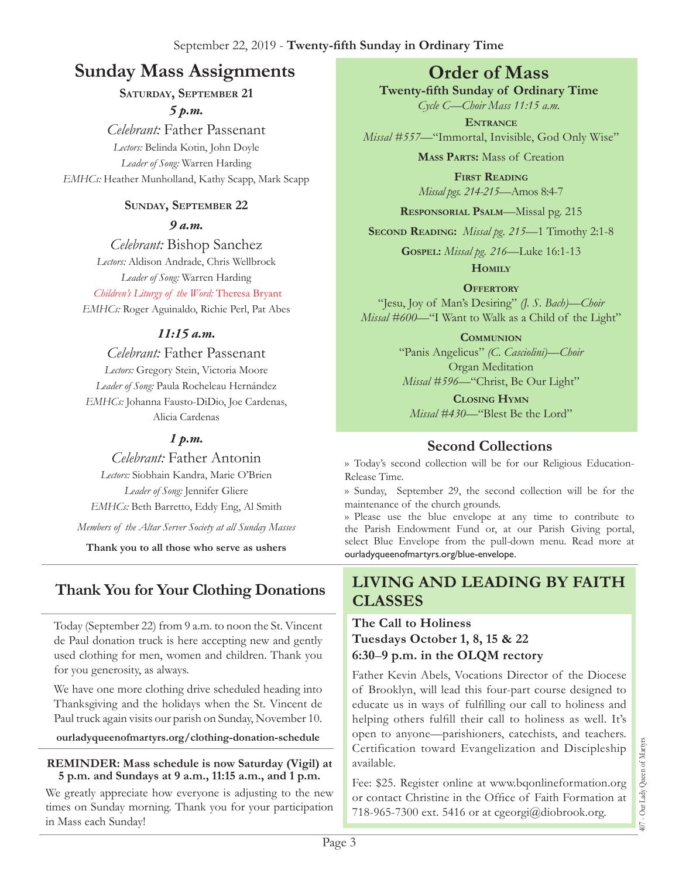# **Sunday Mass Assignments Order of Mass**

#### **Saturday, September 21** *5 p.m.*

*Celebrant:* Father Passenant *Lectors:* Belinda Kotin, John Doyle *Leader of Song:* Warren Harding *EMHCs:* Heather Munholland, Kathy Scapp, Mark Scapp

#### **Sunday, September 22**

*9 a.m.* 

*Celebrant:* Bishop Sanchez *Lectors:* Aldison Andrade, Chris Wellbrock *Leader of Song:* Warren Harding *Children's Liturgy of the Word:* Theresa Bryant *EMHCs:* Roger Aguinaldo, Richie Perl, Pat Abes

#### *11:15 a.m.*

*Celebrant:* Father Passenant *Lectors:* Gregory Stein, Victoria Moore *Leader of Song:* Paula Rocheleau Hernández *EMHCs:* Johanna Fausto-DiDio, Joe Cardenas, Alicia Cardenas

#### *1 p.m.*

*Celebrant:* Father Antonin *Lectors:* Siobhain Kandra, Marie O'Brien *Leader of Song:* Jennifer Gliere *EMHCs:* Beth Barretto, Eddy Eng, Al Smith

*Members of the Altar Server Society at all Sunday Masses*

**Thank you to all those who serve as ushers**

# **Thank You for Your Clothing Donations**

Today (September 22) from 9 a.m. to noon the St. Vincent de Paul donation truck is here accepting new and gently used clothing for men, women and children. Thank you for you generosity, as always.

We have one more clothing drive scheduled heading into Thanksgiving and the holidays when the St. Vincent de Paul truck again visits our parish on Sunday, November 10.

**ourladyqueenofmartyrs.org/clothing-donation-schedule**

#### **REMINDER: Mass schedule is now Saturday (Vigil) at 5 p.m. and Sundays at 9 a.m., 11:15 a.m., and 1 p.m.**

We greatly appreciate how everyone is adjusting to the new times on Sunday morning. Thank you for your participation in Mass each Sunday!

**Twenty-fifth Sunday of Ordinary Time** 

*Cycle C—Choir Mass 11:15 a.m.* **Entrance**

*Missal #557—*"Immortal, Invisible, God Only Wise"

**Mass Parts:** Mass of Creation

**First Reading** *Missal pgs. 214-215—*Amos 8:4-7

**Responsorial Psalm**—Missal pg. 215

**Second Reading:** *Missal pg. 215—*1 Timothy 2:1-8

**Gospel:** *Missal pg. 216—*Luke 16:1-13

**Homily**

#### **Offertory**

"Jesu, Joy of Man's Desiring" *(J. S. Bach)—Choir Missal #600—*"I Want to Walk as a Child of the Light"

> **Communion** "Panis Angelicus" *(C. Casciolini)—Choir*  Organ Meditation *Missal #596—*"Christ, Be Our Light"

**Closing Hymn** *Missal #430—*"Blest Be the Lord"

## **Second Collections**

›› Today's second collection will be for our Religious Education-Release Time.

›› Sunday, September 29, the second collection will be for the maintenance of the church grounds.

›› Please use the blue envelope at any time to contribute to the Parish Endowment Fund or, at our Parish Giving portal, select Blue Envelope from the pull-down menu. Read more at ourladyqueenofmartyrs.org/blue-envelope.

#### **Living and Leading by Faith Classes**

#### **The Call to Holiness Tuesdays October 1, 8, 15 & 22 6:30**–**9 p.m. in the OLQM rectory**

Father Kevin Abels, Vocations Director of the Diocese of Brooklyn, will lead this four-part course designed to educate us in ways of fulfilling our call to holiness and helping others fulfill their call to holiness as well. It's open to anyone—parishioners, catechists, and teachers. Certification toward Evangelization and Discipleship available.

Fee: \$25. Register online at www.bqonlineformation.org or contact Christine in the Office of Faith Formation at 718-965-7300 ext. 5416 or at cgeorgi@diobrook.org.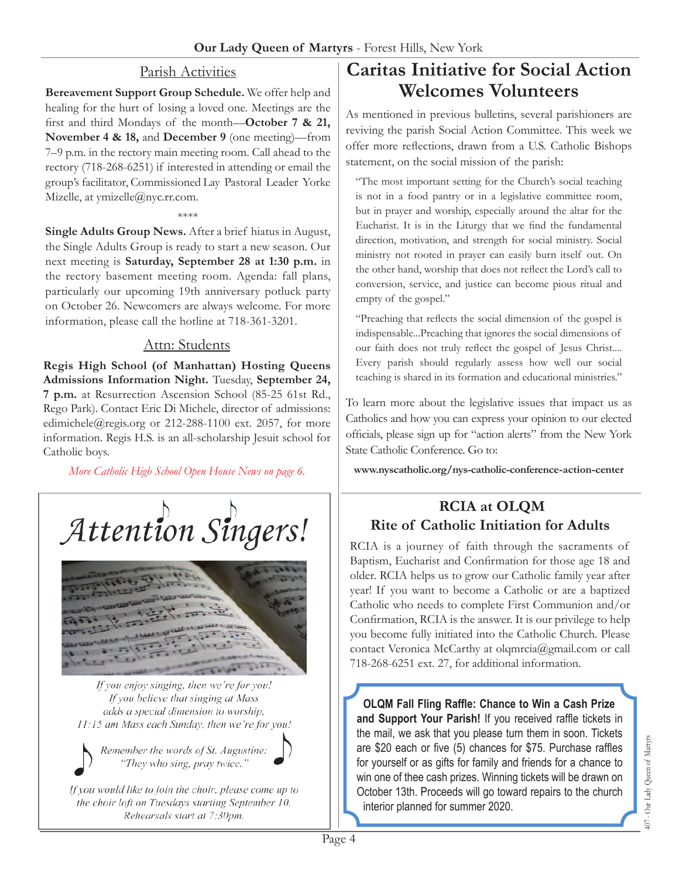#### Parish Activities

**Bereavement Support Group Schedule.** We offer help and healing for the hurt of losing a loved one. Meetings are the first and third Mondays of the month—**October 7 & 21, November 4 & 18,** and **December 9** (one meeting)—from 7–9 p.m. in the rectory main meeting room. Call ahead to the rectory (718-268-6251) if interested in attending or email the group's facilitator, Commissioned Lay Pastoral Leader Yorke Mizelle, at ymizelle@nyc.rr.com.

\*\*\*\*

**Single Adults Group News.** After a brief hiatus in August, the Single Adults Group is ready to start a new season. Our next meeting is **Saturday, September 28 at 1:30 p.m.** in the rectory basement meeting room. Agenda: fall plans, particularly our upcoming 19th anniversary potluck party on October 26. Newcomers are always welcome. For more information, please call the hotline at 718-361-3201.

#### Attn: Students

**Regis High School (of Manhattan) Hosting Queens Admissions Information Night.** Tuesday, **September 24, 7 p.m.** at Resurrection Ascension School (85-25 61st Rd., Rego Park). Contact Eric Di Michele, director of admissions: edimichele@regis.org or 212-288-1100 ext. 2057, for more information. Regis H.S. is an all-scholarship Jesuit school for Catholic boys.

*More Catholic High School Open House News on page 6.*





If you enjoy singing, then we're for you! If you believe that singing at Mass adds a special dimension to worship. 11:15 am Mass each Sunday, then we're for you!

Remember the words of St. Augustine: "They who sing, pray twice."

If you would like to join the choir, please come up to the choir loft on Tuesdays starting September 10. Rehearsals start at 7:30pm.

# **Caritas Initiative for Social Action Welcomes Volunteers**

As mentioned in previous bulletins, several parishioners are reviving the parish Social Action Committee. This week we offer more reflections, drawn from a U.S. Catholic Bishops statement, on the social mission of the parish:

"The most important setting for the Church's social teaching is not in a food pantry or in a legislative committee room, but in prayer and worship, especially around the altar for the Eucharist. It is in the Liturgy that we find the fundamental direction, motivation, and strength for social ministry. Social ministry not rooted in prayer can easily burn itself out. On the other hand, worship that does not reflect the Lord's call to conversion, service, and justice can become pious ritual and empty of the gospel."

"Preaching that reflects the social dimension of the gospel is indispensable...Preaching that ignores the social dimensions of our faith does not truly reflect the gospel of Jesus Christ.... Every parish should regularly assess how well our social teaching is shared in its formation and educational ministries."

To learn more about the legislative issues that impact us as Catholics and how you can express your opinion to our elected officials, please sign up for "action alerts" from the New York State Catholic Conference. Go to:

**www.nyscatholic.org/nys-catholic-conference-action-center**

## **RCIA at OLQM Rite of Catholic Initiation for Adults**

RCIA is a journey of faith through the sacraments of Baptism, Eucharist and Confirmation for those age 18 and older. RCIA helps us to grow our Catholic family year after year! If you want to become a Catholic or are a baptized Catholic who needs to complete First Communion and/or Confirmation, RCIA is the answer. It is our privilege to help you become fully initiated into the Catholic Church. Please contact Veronica McCarthy at olqmrcia@gmail.com or call 718-268-6251 ext. 27, for additional information.

**OLQM Fall Fling Raffle: Chance to Win a Cash Prize and Support Your Parish!** If you received raffle tickets in the mail, we ask that you please turn them in soon. Tickets are \$20 each or five (5) chances for \$75. Purchase raffles for yourself or as gifts for family and friends for a chance to win one of thee cash prizes. Winning tickets will be drawn on October 13th. Proceeds will go toward repairs to the church interior planned for summer 2020.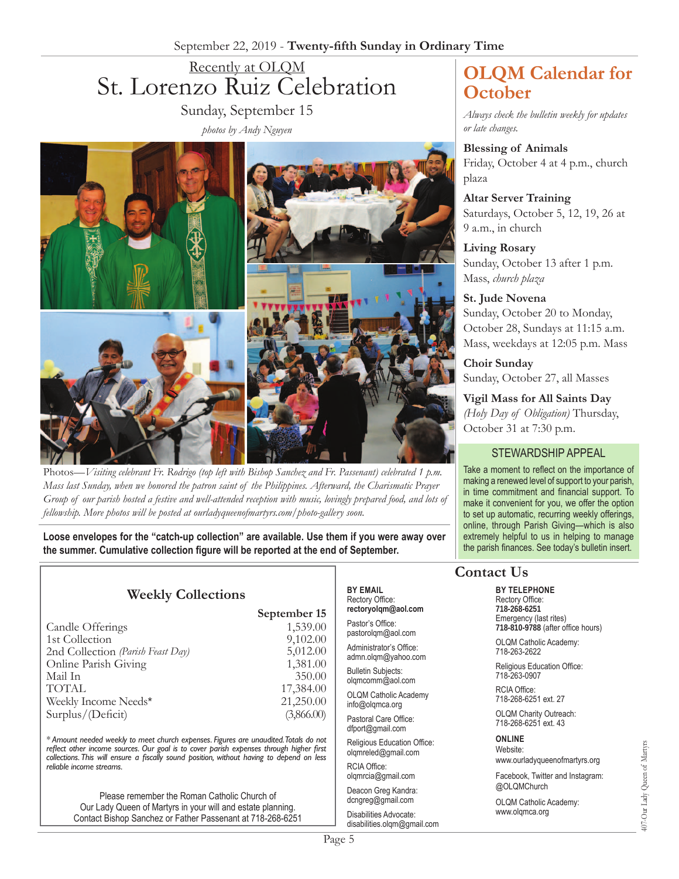# Recently at OLQM St. Lorenzo Ruiz Celebration Sunday, September 15

*photos by Andy Nguyen*



Photos—*Visiting celebrant Fr. Rodrigo (top left with Bishop Sanchez and Fr. Passenant) celebrated 1 p.m. Mass last Sunday, when we honored the patron saint of the Philippines. Afterward, the Charismatic Prayer Group of our parish hosted a festive and well-attended reception with music, lovingly prepared food, and lots of fellowship. More photos will be posted at ourladyqueenofmartyrs.com/photo-gallery soon.*

**Loose envelopes for the "catch-up collection" are available. Use them if you were away over the summer. Cumulative collection figure will be reported at the end of September.**

**September 15**

## **Weekly Collections**

|                                   | $\sim$ $\sim$ $\sim$ $\sim$ $\sim$ $\sim$ |
|-----------------------------------|-------------------------------------------|
| Candle Offerings                  | 1,539.00                                  |
| 1st Collection                    | 9,102.00                                  |
| 2nd Collection (Parish Feast Day) | 5,012.00                                  |
| Online Parish Giving              | 1,381.00                                  |
| Mail In                           | 350.00                                    |
| <b>TOTAL</b>                      | 17,384.00                                 |
| Weekly Income Needs*              | 21,250.00                                 |
| Surplus/(Deficit)                 | (3,866.00)                                |

*\* Amount needed weekly to meet church expenses. Figures are unaudited. Totals do not reflect other income sources. Our goal is to cover parish expenses through higher first collections. This will ensure a fiscally sound position, without having to depend on less reliable income streams.*

Please remember the Roman Catholic Church of Our Lady Queen of Martyrs in your will and estate planning. Contact Bishop Sanchez or Father Passenant at 718-268-6251

#### **By Email** Rectory Office: **rectoryolqm@aol.com**

Pastor's Office: pastorolqm@aol.com

Administrator's Office: admn.olqm@yahoo.com

Bulletin Subjects: olqmcomm@aol.com

OLQM Catholic Academy info@olqmca.org

Pastoral Care Office: dfport@gmail.com

Religious Education Office: olqmreled@gmail.com

RCIA Office: olqmrcia@gmail.com

Deacon Greg Kandra: dcngreg@gmail.com

Disabilities Advocate: disabilities.olqm@gmail.com

# **OLQM Calendar for October**

*Always check the bulletin weekly for updates or late changes.*

**Blessing of Animals** Friday, October 4 at 4 p.m., church plaza

**Altar Server Training** Saturdays, October 5, 12, 19, 26 at 9 a.m., in church

**Living Rosary** Sunday, October 13 after 1 p.m. Mass, *church plaza*

#### **St. Jude Novena**

Sunday, October 20 to Monday, October 28, Sundays at 11:15 a.m. Mass, weekdays at 12:05 p.m. Mass

**Choir Sunday** Sunday, October 27, all Masses

**Vigil Mass for All Saints Day**  *(Holy Day of Obligation)* Thursday, October 31 at 7:30 p.m.

#### STEWARDSHIP APPEAL

Take a moment to reflect on the importance of making a renewed level of support to your parish, in time commitment and financial support. To make it convenient for you, we offer the option to set up automatic, recurring weekly offerings, online, through Parish Giving—which is also extremely helpful to us in helping to manage the parish finances. See today's bulletin insert.

## **Contact Us**

#### **By Telephone** Rectory Office:

**718-268-6251** Emergency (last rites) **718-810-9788** (after office hours)

OLQM Catholic Academy: 718-263-2622

Religious Education Office: 718-263-0907

RCIA Office: 718-268-6251 ext. 27

OLQM Charity Outreach: 718-268-6251 ext. 43

#### **Online** Website:

www.ourladyqueenofmartyrs.org

Facebook, Twitter and Instagram: @OLQMChurch

OLQM Catholic Academy: www.olqmca.org